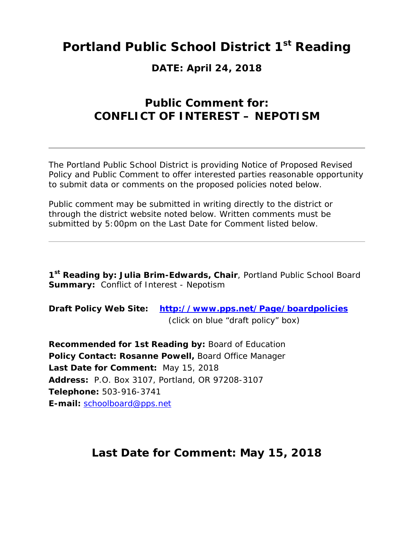# **Portland Public School District 1st Reading**

### **DATE: April 24, 2018**

## **Public Comment for: CONFLICT OF INTEREST – NEPOTISM**

The Portland Public School District is providing Notice of Proposed Revised Policy and Public Comment to offer interested parties reasonable opportunity to submit data or comments on the proposed policies noted below.

Public comment may be submitted in writing directly to the district or through the district website noted below. Written comments must be submitted by 5:00pm on the Last Date for Comment listed below.

**1st Reading by: Julia Brim-Edwards, Chair**, Portland Public School Board **Summary:** Conflict of Interest - Nepotism

**Draft Policy Web Site: http://www.pps.net/Page/boardpolicies** (click on blue "draft policy" box)

**Recommended for 1st Reading by:** Board of Education **Policy Contact: Rosanne Powell,** Board Office Manager **Last Date for Comment:** May 15, 2018 **Address:** P.O. Box 3107, Portland, OR 97208-3107 **Telephone:** 503-916-3741 **E-mail:** schoolboard@pps.net

### **Last Date for Comment: May 15, 2018**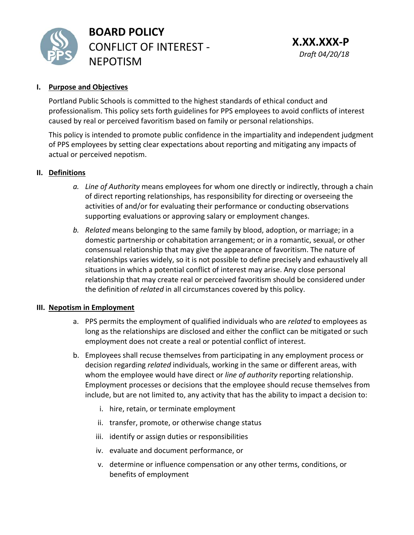

**BOARD POLICY** CONFLICT OF INTEREST ‐ NEPOTISM

#### **I. Purpose and Objectives**

Portland Public Schools is committed to the highest standards of ethical conduct and professionalism. This policy sets forth guidelines for PPS employees to avoid conflicts of interest caused by real or perceived favoritism based on family or personal relationships.

This policy is intended to promote public confidence in the impartiality and independent judgment of PPS employees by setting clear expectations about reporting and mitigating any impacts of actual or perceived nepotism.

#### **II. Definitions**

- *a. Line of Authority* means employees for whom one directly or indirectly, through a chain of direct reporting relationships, has responsibility for directing or overseeing the activities of and/or for evaluating their performance or conducting observations supporting evaluations or approving salary or employment changes.
- *b. Related* means belonging to the same family by blood, adoption, or marriage; in a domestic partnership or cohabitation arrangement; or in a romantic, sexual, or other consensual relationship that may give the appearance of favoritism. The nature of relationships varies widely, so it is not possible to define precisely and exhaustively all situations in which a potential conflict of interest may arise. Any close personal relationship that may create real or perceived favoritism should be considered under the definition of *related* in all circumstances covered by this policy.

#### **III. Nepotism in Employment**

- a. PPS permits the employment of qualified individuals who are *related* to employees as long as the relationships are disclosed and either the conflict can be mitigated or such employment does not create a real or potential conflict of interest.
- b. Employees shall recuse themselves from participating in any employment process or decision regarding *related* individuals, working in the same or different areas, with whom the employee would have direct or *line of authority* reporting relationship. Employment processes or decisions that the employee should recuse themselves from include, but are not limited to, any activity that has the ability to impact a decision to:
	- i. hire, retain, or terminate employment
	- ii. transfer, promote, or otherwise change status
	- iii. identify or assign duties or responsibilities
	- iv. evaluate and document performance, or
	- v. determine or influence compensation or any other terms, conditions, or benefits of employment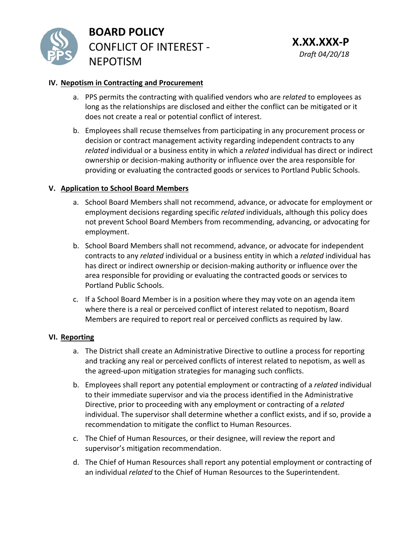

**BOARD POLICY** CONFLICT OF INTEREST ‐ NEPOTISM

#### **IV. Nepotism in Contracting and Procurement**

- a. PPS permits the contracting with qualified vendors who are *related* to employees as long as the relationships are disclosed and either the conflict can be mitigated or it does not create a real or potential conflict of interest.
- b. Employees shall recuse themselves from participating in any procurement process or decision or contract management activity regarding independent contracts to any *related* individual or a business entity in which a *related* individual has direct or indirect ownership or decision‐making authority or influence over the area responsible for providing or evaluating the contracted goods or services to Portland Public Schools.

#### **V. Application to School Board Members**

- a. School Board Members shall not recommend, advance, or advocate for employment or employment decisions regarding specific *related* individuals, although this policy does not prevent School Board Members from recommending, advancing, or advocating for employment.
- b. School Board Members shall not recommend, advance, or advocate for independent contracts to any *related* individual or a business entity in which a *related* individual has has direct or indirect ownership or decision‐making authority or influence over the area responsible for providing or evaluating the contracted goods or services to Portland Public Schools.
- c. If a School Board Member is in a position where they may vote on an agenda item where there is a real or perceived conflict of interest related to nepotism, Board Members are required to report real or perceived conflicts as required by law.

#### **VI. Reporting**

- a. The District shall create an Administrative Directive to outline a process for reporting and tracking any real or perceived conflicts of interest related to nepotism, as well as the agreed‐upon mitigation strategies for managing such conflicts.
- b. Employees shall report any potential employment or contracting of a *related* individual to their immediate supervisor and via the process identified in the Administrative Directive, prior to proceeding with any employment or contracting of a *related* individual. The supervisor shall determine whether a conflict exists, and if so, provide a recommendation to mitigate the conflict to Human Resources.
- c. The Chief of Human Resources, or their designee, will review the report and supervisor's mitigation recommendation.
- d. The Chief of Human Resources shall report any potential employment or contracting of an individual *related* to the Chief of Human Resources to the Superintendent.